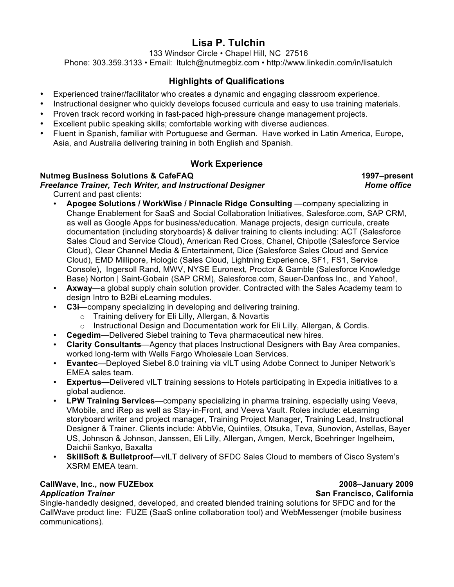## **Lisa P. Tulchin**

133 Windsor Circle • Chapel Hill, NC 27516 Phone: 303.359.3133 • Email: ltulch@nutmegbiz.com • http://www.linkedin.com/in/lisatulch

### **Highlights of Qualifications**

- Experienced trainer/facilitator who creates a dynamic and engaging classroom experience.
- Instructional designer who quickly develops focused curricula and easy to use training materials.
- Proven track record working in fast-paced high-pressure change management projects.
- Excellent public speaking skills; comfortable working with diverse audiences.
- Fluent in Spanish, familiar with Portuguese and German. Have worked in Latin America, Europe, Asia, and Australia delivering training in both English and Spanish.

#### **Work Experience**

#### **Nutmeg Business Solutions & CafeFAQ 1997–present**

# *Freelance Trainer, Tech Writer, and Instructional Designer* **Home** *Home office*

Current and past clients:

- **Apogee Solutions / WorkWise / Pinnacle Ridge Consulting** —company specializing in Change Enablement for SaaS and Social Collaboration Initiatives, Salesforce.com, SAP CRM, as well as Google Apps for business/education. Manage projects, design curricula, create documentation (including storyboards) & deliver training to clients including: ACT (Salesforce Sales Cloud and Service Cloud), American Red Cross, Chanel, Chipotle (Salesforce Service Cloud), Clear Channel Media & Entertainment, Dice (Salesforce Sales Cloud and Service Cloud), EMD Millipore, Hologic (Sales Cloud, Lightning Experience, SF1, FS1, Service Console), Ingersoll Rand, MWV, NYSE Euronext, Proctor & Gamble (Salesforce Knowledge Base) Norton | Saint-Gobain (SAP CRM), Salesforce.com, Sauer-Danfoss Inc., and Yahoo!,
- **Axway**—a global supply chain solution provider. Contracted with the Sales Academy team to design Intro to B2Bi eLearning modules.
- **C3i**—company specializing in developing and delivering training.
	- o Training delivery for Eli Lilly, Allergan, & Novartis
	- $\circ$  Instructional Design and Documentation work for Eli Lilly, Allergan, & Cordis.
- **Cegedim**—Delivered Siebel training to Teva pharmaceutical new hires.
- **Clarity Consultants**—Agency that places Instructional Designers with Bay Area companies, worked long-term with Wells Fargo Wholesale Loan Services.
- **Evantec**—Deployed Siebel 8.0 training via vILT using Adobe Connect to Juniper Network's EMEA sales team.
- **Expertus**—Delivered vILT training sessions to Hotels participating in Expedia initiatives to a global audience.
- **LPW Training Services**—company specializing in pharma training, especially using Veeva, VMobile, and iRep as well as Stay-in-Front, and Veeva Vault. Roles include: eLearning storyboard writer and project manager, Training Project Manager, Training Lead, Instructional Designer & Trainer. Clients include: AbbVie, Quintiles, Otsuka, Teva, Sunovion, Astellas, Bayer US, Johnson & Johnson, Janssen, Eli Lilly, Allergan, Amgen, Merck, Boehringer Ingelheim, Daichii Sankyo, Baxalta
- **SkillSoft & Bulletproof**—vILT delivery of SFDC Sales Cloud to members of Cisco System's XSRM EMEA team.

# **CallWave, Inc., now FUZEbox 2008–January 2009**

Single-handedly designed, developed, and created blended training solutions for SFDC and for the CallWave product line: FUZE (SaaS online collaboration tool) and WebMessenger (mobile business communications).

# *Application Trainer* **San Francisco, California**